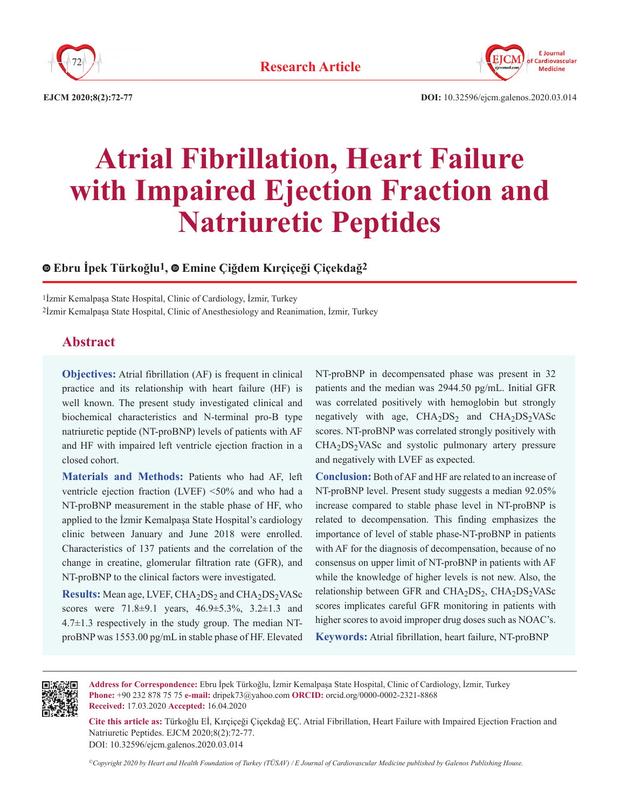



**EJCM 2020;8(2):72-77 DOI:** 10.32596/ejcm.galenos.2020.03.014

# **Atrial Fibrillation, Heart Failure with Impaired Ejection Fraction and Natriuretic Peptides**

# **Ebru İpek Türkoğlu1, Emine Çiğdem Kırçiçeği Çiçekdağ2**

1İzmir Kemalpaşa State Hospital, Clinic of Cardiology, İzmir, Turkey 2İzmir Kemalpaşa State Hospital, Clinic of Anesthesiology and Reanimation, İzmir, Turkey

# **Abstract**

**Objectives:** Atrial fibrillation (AF) is frequent in clinical practice and its relationship with heart failure (HF) is well known. The present study investigated clinical and biochemical characteristics and N-terminal pro-B type natriuretic peptide (NT-proBNP) levels of patients with AF and HF with impaired left ventricle ejection fraction in a closed cohort.

**Materials and Methods:** Patients who had AF, left ventricle ejection fraction (LVEF) <50% and who had a NT-proBNP measurement in the stable phase of HF, who applied to the İzmir Kemalpaşa State Hospital's cardiology clinic between January and June 2018 were enrolled. Characteristics of 137 patients and the correlation of the change in creatine, glomerular filtration rate (GFR), and NT-proBNP to the clinical factors were investigated.

**Results:** Mean age, LVEF, CHA<sub>2</sub>DS<sub>2</sub> and CHA<sub>2</sub>DS<sub>2</sub>VASc scores were 71.8±9.1 years, 46.9±5.3%, 3.2±1.3 and 4.7±1.3 respectively in the study group. The median NTproBNP was 1553.00 pg/mL in stable phase of HF. Elevated NT-proBNP in decompensated phase was present in 32 patients and the median was 2944.50 pg/mL. Initial GFR was correlated positively with hemoglobin but strongly negatively with age,  $CHA<sub>2</sub>DS<sub>2</sub>$  and  $CHA<sub>2</sub>DS<sub>2</sub>VASc$ scores. NT-proBNP was correlated strongly positively with  $CHA<sub>2</sub>DS<sub>2</sub> VASc$  and systolic pulmonary artery pressure and negatively with LVEF as expected.

**Conclusion:** Both of AF and HF are related to an increase of NT-proBNP level. Present study suggests a median 92.05% increase compared to stable phase level in NT-proBNP is related to decompensation. This finding emphasizes the importance of level of stable phase-NT-proBNP in patients with AF for the diagnosis of decompensation, because of no consensus on upper limit of NT-proBNP in patients with AF while the knowledge of higher levels is not new. Also, the relationship between GFR and  $CHA<sub>2</sub>DS<sub>2</sub>$ ,  $CHA<sub>2</sub>DS<sub>2</sub> VASC$ scores implicates careful GFR monitoring in patients with higher scores to avoid improper drug doses such as NOAC's.

**Keywords:** Atrial fibrillation, heart failure, NT-proBNP



**Address for Correspondence:** Ebru İpek Türkoğlu, İzmir Kemalpaşa State Hospital, Clinic of Cardiology, İzmir, Turkey **Phone:** +90 232 878 75 75 **e-mail:** dripek73@yahoo.com **ORCID:** orcid.org/0000-0002-2321-8868 **Received:** 17.03.2020 **Accepted:** 16.04.2020

**Cite this article as:** Türkoğlu Eİ, Kırçiçeği Çiçekdağ EÇ. Atrial Fibrillation, Heart Failure with Impaired Ejection Fraction and Natriuretic Peptides. EJCM 2020;8(2):72-77.

DOI: 10.32596/ejcm.galenos.2020.03.014

*©Copyright 2020 by Heart and Health Foundation of Turkey (TÜSAV) / E Journal of Cardiovascular Medicine published by Galenos Publishing House.*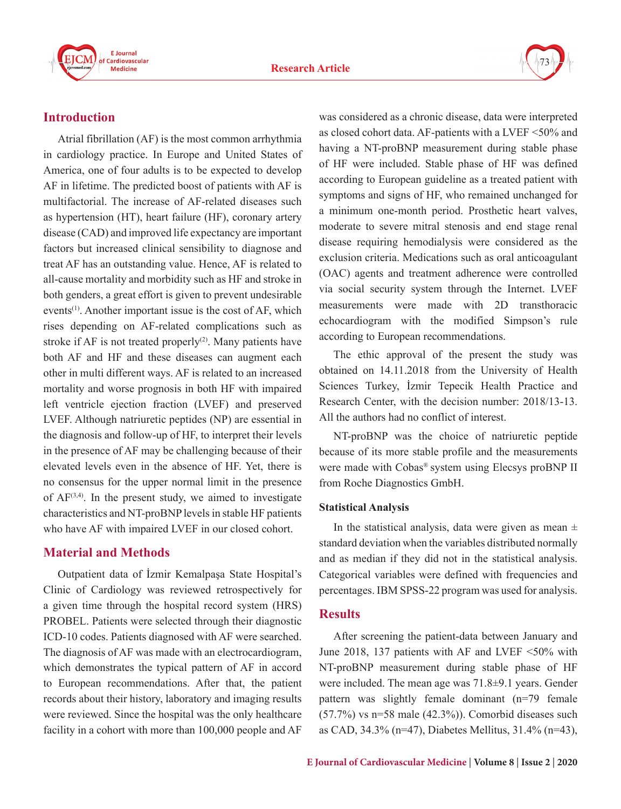



# **Introduction**

Atrial fibrillation (AF) is the most common arrhythmia in cardiology practice. In Europe and United States of America, one of four adults is to be expected to develop AF in lifetime. The predicted boost of patients with AF is multifactorial. The increase of AF-related diseases such as hypertension (HT), heart failure (HF), coronary artery disease (CAD) and improved life expectancy are important factors but increased clinical sensibility to diagnose and treat AF has an outstanding value. Hence, AF is related to all-cause mortality and morbidity such as HF and stroke in both genders, a great effort is given to prevent undesirable events<sup>(1)</sup>. Another important issue is the cost of AF, which rises depending on AF-related complications such as stroke if AF is not treated properly<sup>(2)</sup>. Many patients have both AF and HF and these diseases can augment each other in multi different ways. AF is related to an increased mortality and worse prognosis in both HF with impaired left ventricle ejection fraction (LVEF) and preserved LVEF. Although natriuretic peptides (NP) are essential in the diagnosis and follow-up of HF, to interpret their levels in the presence of AF may be challenging because of their elevated levels even in the absence of HF. Yet, there is no consensus for the upper normal limit in the presence of  $AF^{(3,4)}$ . In the present study, we aimed to investigate characteristics and NT-proBNP levels in stable HF patients who have AF with impaired LVEF in our closed cohort.

## **Material and Methods**

Outpatient data of İzmir Kemalpaşa State Hospital's Clinic of Cardiology was reviewed retrospectively for a given time through the hospital record system (HRS) PROBEL. Patients were selected through their diagnostic ICD-10 codes. Patients diagnosed with AF were searched. The diagnosis of AF was made with an electrocardiogram, which demonstrates the typical pattern of AF in accord to European recommendations. After that, the patient records about their history, laboratory and imaging results were reviewed. Since the hospital was the only healthcare facility in a cohort with more than 100,000 people and AF was considered as a chronic disease, data were interpreted as closed cohort data. AF-patients with a LVEF <50% and having a NT-proBNP measurement during stable phase of HF were included. Stable phase of HF was defined according to European guideline as a treated patient with symptoms and signs of HF, who remained unchanged for a minimum one-month period. Prosthetic heart valves, moderate to severe mitral stenosis and end stage renal disease requiring hemodialysis were considered as the exclusion criteria. Medications such as oral anticoagulant (OAC) agents and treatment adherence were controlled via social security system through the Internet. LVEF measurements were made with 2D transthoracic echocardiogram with the modified Simpson's rule according to European recommendations.

The ethic approval of the present the study was obtained on 14.11.2018 from the University of Health Sciences Turkey, İzmir Tepecik Health Practice and Research Center, with the decision number: 2018/13-13. All the authors had no conflict of interest.

NT-proBNP was the choice of natriuretic peptide because of its more stable profile and the measurements were made with Cobas® system using Elecsys proBNP II from Roche Diagnostics GmbH.

#### **Statistical Analysis**

In the statistical analysis, data were given as mean  $\pm$ standard deviation when the variables distributed normally and as median if they did not in the statistical analysis. Categorical variables were defined with frequencies and percentages. IBM SPSS-22 program was used for analysis.

## **Results**

After screening the patient-data between January and June 2018, 137 patients with AF and LVEF <50% with NT-proBNP measurement during stable phase of HF were included. The mean age was 71.8±9.1 years. Gender pattern was slightly female dominant (n=79 female  $(57.7%)$  vs n=58 male  $(42.3%)$ ). Comorbid diseases such as CAD, 34.3% (n=47), Diabetes Mellitus, 31.4% (n=43),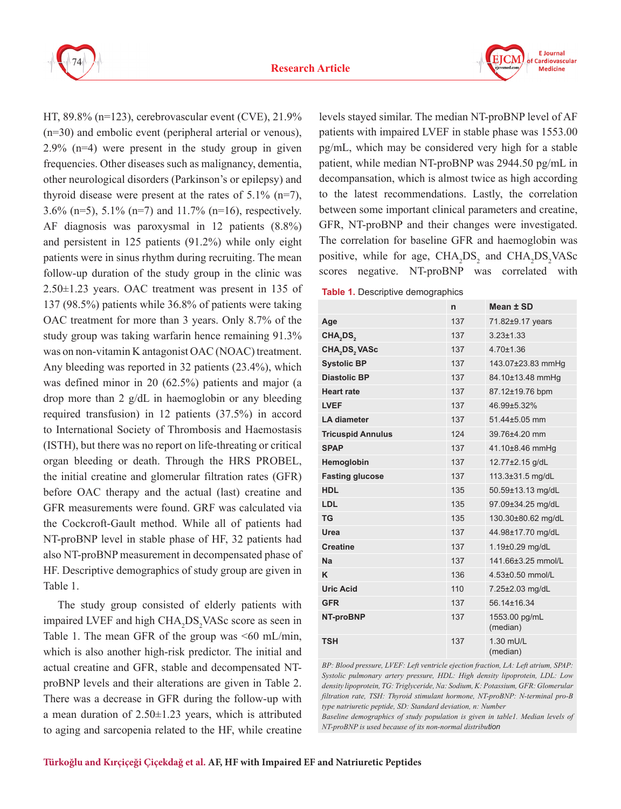



HT, 89.8% (n=123), cerebrovascular event (CVE), 21.9% (n=30) and embolic event (peripheral arterial or venous), 2.9% (n=4) were present in the study group in given frequencies. Other diseases such as malignancy, dementia, other neurological disorders (Parkinson's or epilepsy) and thyroid disease were present at the rates of  $5.1\%$  (n=7), 3.6% (n=5), 5.1% (n=7) and 11.7% (n=16), respectively. AF diagnosis was paroxysmal in 12 patients (8.8%) and persistent in 125 patients (91.2%) while only eight patients were in sinus rhythm during recruiting. The mean follow-up duration of the study group in the clinic was 2.50±1.23 years. OAC treatment was present in 135 of 137 (98.5%) patients while 36.8% of patients were taking OAC treatment for more than 3 years. Only 8.7% of the study group was taking warfarin hence remaining 91.3% was on non-vitamin K antagonist OAC (NOAC) treatment. Any bleeding was reported in 32 patients (23.4%), which was defined minor in 20 (62.5%) patients and major (a drop more than 2 g/dL in haemoglobin or any bleeding required transfusion) in 12 patients (37.5%) in accord to International Society of Thrombosis and Haemostasis (ISTH), but there was no report on life-threating or critical organ bleeding or death. Through the HRS PROBEL, the initial creatine and glomerular filtration rates (GFR) before OAC therapy and the actual (last) creatine and GFR measurements were found. GRF was calculated via the Cockcroft-Gault method. While all of patients had NT-proBNP level in stable phase of HF, 32 patients had also NT-proBNP measurement in decompensated phase of HF. Descriptive demographics of study group are given in Table 1.

The study group consisted of elderly patients with impaired LVEF and high  $CHA<sub>2</sub>DS<sub>2</sub> VASC score as seen in$ Table 1. The mean GFR of the group was  $\leq 60$  mL/min, which is also another high-risk predictor. The initial and actual creatine and GFR, stable and decompensated NTproBNP levels and their alterations are given in Table 2. There was a decrease in GFR during the follow-up with a mean duration of  $2.50 \pm 1.23$  years, which is attributed to aging and sarcopenia related to the HF, while creatine

levels stayed similar. The median NT-proBNP level of AF patients with impaired LVEF in stable phase was 1553.00 pg/mL, which may be considered very high for a stable patient, while median NT-proBNP was 2944.50 pg/mL in decompansation, which is almost twice as high according to the latest recommendations. Lastly, the correlation between some important clinical parameters and creatine, GFR, NT-proBNP and their changes were investigated. The correlation for baseline GFR and haemoglobin was positive, while for age,  $\text{CHA}_2\text{DS}_2$  and  $\text{CHA}_2\text{DS}_2\text{VASC}$ scores negative. NT-proBNP was correlated with

**Table 1.** Descriptive demographics

|                                       | n   | Mean ± SD                 |
|---------------------------------------|-----|---------------------------|
| Age                                   | 137 | 71.82±9.17 years          |
| CHA,DS,                               | 137 | $3.23 \pm 1.33$           |
| CHA <sub>,</sub> DS <sub>,</sub> VASc | 137 | $4.70 \pm 1.36$           |
| <b>Systolic BP</b>                    | 137 | 143.07±23.83 mmHg         |
| <b>Diastolic BP</b>                   | 137 | 84.10±13.48 mmHg          |
| <b>Heart rate</b>                     | 137 | 87.12±19.76 bpm           |
| <b>LVEF</b>                           | 137 | 46.99±5.32%               |
| <b>LA diameter</b>                    | 137 | 51.44±5.05 mm             |
| <b>Tricuspid Annulus</b>              | 124 | 39.76±4.20 mm             |
| <b>SPAP</b>                           | 137 | 41.10±8.46 mmHg           |
| Hemoglobin                            | 137 | 12.77±2.15 g/dL           |
| <b>Fasting glucose</b>                | 137 | 113.3±31.5 mg/dL          |
| <b>HDL</b>                            | 135 | 50.59±13.13 mg/dL         |
| LDL                                   | 135 | 97.09±34.25 mg/dL         |
| <b>TG</b>                             | 135 | 130.30±80.62 mg/dL        |
| Urea                                  | 137 | 44.98±17.70 mg/dL         |
| <b>Creatine</b>                       | 137 | 1.19±0.29 mg/dL           |
| Na                                    | 137 | 141.66±3.25 mmol/L        |
| K                                     | 136 | $4.53+0.50$ mmol/l        |
| <b>Uric Acid</b>                      | 110 | 7.25±2.03 mg/dL           |
| <b>GFR</b>                            | 137 | 56 14 + 16 34             |
| NT-proBNP                             | 137 | 1553.00 pg/mL<br>(median) |
| <b>TSH</b>                            | 137 | $1.30$ mll/l<br>(median)  |

*BP: Blood pressure, LVEF: Left ventricle ejection fraction, LA: Left atrium, SPAP: Systolic pulmonary artery pressure, HDL: High density lipoprotein, LDL: Low density lipoprotein, TG: Triglyceride, Na: Sodium, K: Potassium, GFR: Glomerular filtration rate, TSH: Thyroid stimulant hormone, NT-proBNP: N-terminal pro-B type natriuretic peptide, SD: Standard deviation, n: Number*

*Baseline demographics of study population is given in table1. Median levels of NT-proBNP is used because of its non-normal distribution*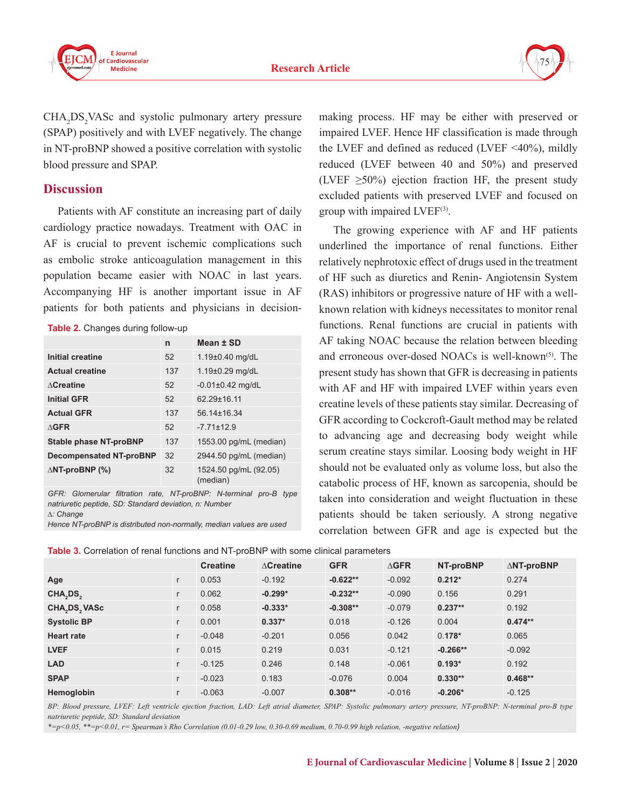



 $CHA<sub>2</sub>DS<sub>2</sub> VASC and systolic pulmonary artery pressure$ (SPAP) positively and with LVEF negatively. The change in NT-proBNP showed a positive correlation with systolic blood pressure and SPAP.

## **Discussion**

Patients with AF constitute an increasing part of daily cardiology practice nowadays. Treatment with OAC in AF is crucial to prevent ischemic complications such as embolic stroke anticoagulation management in this population became easier with NOAC in last years. Accompanying HF is another important issue in AF patients for both patients and physicians in decision-

|  | Table 2. Changes during follow-up |  |  |
|--|-----------------------------------|--|--|
|--|-----------------------------------|--|--|

|                                | n   | Mean ± SD                         |
|--------------------------------|-----|-----------------------------------|
| Initial creatine               | 52  | $1.19 \pm 0.40$ mg/dL             |
| <b>Actual creatine</b>         | 137 | 1.19±0.29 mg/dL                   |
| $\Lambda$ Creatine             | 52  | $-0.01 \pm 0.42$ mg/dL            |
| <b>Initial GFR</b>             | 52  | 62 29+16 11                       |
| <b>Actual GFR</b>              | 137 | 56 14 + 16 34                     |
| $\Lambda$ GFR                  | 52  | $-771+129$                        |
| <b>Stable phase NT-proBNP</b>  | 137 | 1553.00 pg/mL (median)            |
| <b>Decompensated NT-proBNP</b> | 32  | 2944.50 pg/mL (median)            |
| $\triangle$ NT-proBNP (%)      | 32  | 1524.50 pg/mL (92.05)<br>(median) |

*GFR: Glomerular filtration rate, NT-proBNP: N-terminal pro-B type natriuretic peptide, SD: Standard deviation, n: Number ∆: Change* 

*Hence NT-proBNP is distributed non-normally, median values are used*

making process. HF may be either with preserved or impaired LVEF. Hence HF classification is made through the LVEF and defined as reduced (LVEF  $\leq 40\%$ ), mildly reduced (LVEF between 40 and 50%) and preserved (LVEF  $\geq 50\%$ ) ejection fraction HF, the present study excluded patients with preserved LVEF and focused on group with impaired LVEF<sup>(3)</sup>.

The growing experience with AF and HF patients underlined the importance of renal functions. Either relatively nephrotoxic effect of drugs used in the treatment of HF such as diuretics and Renin- Angiotensin System (RAS) inhibitors or progressive nature of HF with a wellknown relation with kidneys necessitates to monitor renal functions. Renal functions are crucial in patients with AF taking NOAC because the relation between bleeding and erroneous over-dosed NOACs is well-known<sup>(5)</sup>. The present study has shown that GFR is decreasing in patients with AF and HF with impaired LVEF within years even creatine levels of these patients stay similar. Decreasing of GFR according to Cockcroft-Gault method may be related to advancing age and decreasing body weight while serum creatine stays similar. Loosing body weight in HF should not be evaluated only as volume loss, but also the catabolic process of HF, known as sarcopenia, should be taken into consideration and weight fluctuation in these patients should be taken seriously. A strong negative correlation between GFR and age is expected but the

**Table 3.** Correlation of renal functions and NT-proBNP with some clinical parameters

|                                       |              | <b>Creatine</b> | $\wedge$ Creatine | <b>GFR</b> | $\Delta$ GFR | NT-proBNP  | $\triangle$ NT-proBNP |
|---------------------------------------|--------------|-----------------|-------------------|------------|--------------|------------|-----------------------|
| Age                                   | $\mathsf{r}$ | 0.053           | $-0.192$          | $-0.622**$ | $-0.092$     | $0.212*$   | 0.274                 |
| CHA <sub>,</sub> DS <sub>2</sub>      | $\mathsf{r}$ | 0.062           | $-0.299*$         | $-0.232**$ | $-0.090$     | 0.156      | 0.291                 |
| CHA <sub>2</sub> DS <sub>2</sub> VASc | $\Gamma$     | 0.058           | $-0.333*$         | $-0.308**$ | $-0.079$     | $0.237**$  | 0.192                 |
| <b>Systolic BP</b>                    | $\Gamma$     | 0.001           | $0.337*$          | 0.018      | $-0.126$     | 0.004      | $0.474**$             |
| <b>Heart rate</b>                     | $\mathsf{r}$ | $-0.048$        | $-0.201$          | 0.056      | 0.042        | $0.178*$   | 0.065                 |
| <b>LVEF</b>                           | $\mathsf{r}$ | 0.015           | 0.219             | 0.031      | $-0.121$     | $-0.266**$ | $-0.092$              |
| <b>LAD</b>                            | $\mathsf{r}$ | $-0.125$        | 0.246             | 0.148      | $-0.061$     | $0.193*$   | 0.192                 |
| <b>SPAP</b>                           | $\mathsf{r}$ | $-0.023$        | 0.183             | $-0.076$   | 0.004        | $0.330**$  | $0.468**$             |
| Hemoglobin                            | $\mathsf{r}$ | $-0.063$        | $-0.007$          | $0.308**$  | $-0.016$     | $-0.206*$  | $-0.125$              |

*BP: Blood pressure, LVEF: Left ventricle ejection fraction, LAD: Left atrial diameter, SPAP: Systolic pulmonary artery pressure, NT-proBNP: N-terminal pro-B type natriuretic peptide, SD: Standard deviation*

*\*=p<0.05, \*\*=p<0.01, r= Spearman's Rho Correlation (0.01-0.29 low, 0.30-0.69 medium, 0.70-0.99 high relation, -negative relation)*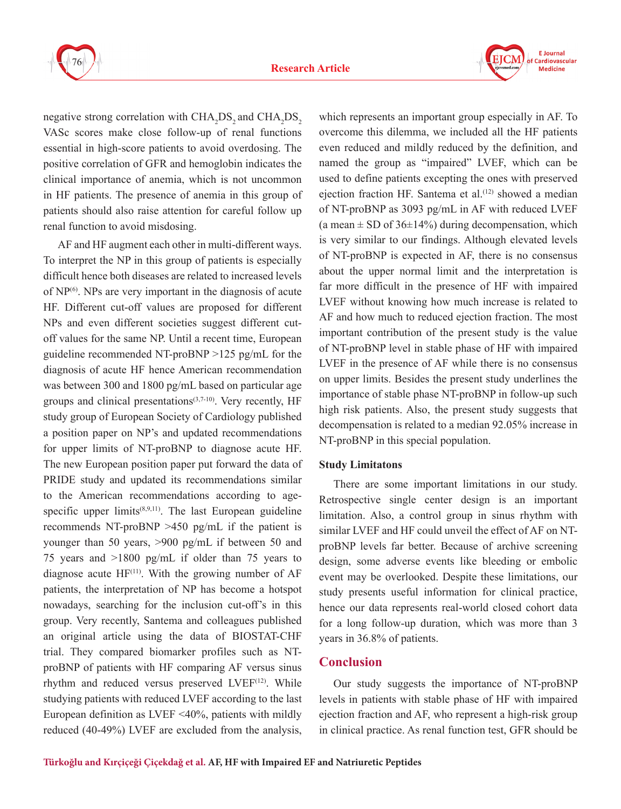



negative strong correlation with  $\text{CHA}_2\text{DS}_2$  and  $\text{CHA}_2\text{DS}_2$ VASc scores make close follow-up of renal functions essential in high-score patients to avoid overdosing. The positive correlation of GFR and hemoglobin indicates the clinical importance of anemia, which is not uncommon in HF patients. The presence of anemia in this group of patients should also raise attention for careful follow up renal function to avoid misdosing.

AF and HF augment each other in multi-different ways. To interpret the NP in this group of patients is especially difficult hence both diseases are related to increased levels of  $NP<sup>(6)</sup>$ . NPs are very important in the diagnosis of acute HF. Different cut-off values are proposed for different NPs and even different societies suggest different cutoff values for the same NP. Until a recent time, European guideline recommended NT-proBNP >125 pg/mL for the diagnosis of acute HF hence American recommendation was between 300 and 1800 pg/mL based on particular age groups and clinical presentations $(3,7-10)$ . Very recently, HF study group of European Society of Cardiology published a position paper on NP's and updated recommendations for upper limits of NT-proBNP to diagnose acute HF. The new European position paper put forward the data of PRIDE study and updated its recommendations similar to the American recommendations according to agespecific upper limits<sup> $(8,9,11)$ </sup>. The last European guideline recommends NT-proBNP >450 pg/mL if the patient is younger than 50 years, >900 pg/mL if between 50 and 75 years and >1800 pg/mL if older than 75 years to diagnose acute  $HF^{(11)}$ . With the growing number of  $AF$ patients, the interpretation of NP has become a hotspot nowadays, searching for the inclusion cut-off's in this group. Very recently, Santema and colleagues published an original article using the data of BIOSTAT-CHF trial. They compared biomarker profiles such as NTproBNP of patients with HF comparing AF versus sinus rhythm and reduced versus preserved LVEF<sup>(12)</sup>. While studying patients with reduced LVEF according to the last European definition as LVEF <40%, patients with mildly reduced (40-49%) LVEF are excluded from the analysis,

which represents an important group especially in AF. To overcome this dilemma, we included all the HF patients even reduced and mildly reduced by the definition, and named the group as "impaired" LVEF, which can be used to define patients excepting the ones with preserved ejection fraction HF. Santema et al.<sup>(12)</sup> showed a median of NT-proBNP as 3093 pg/mL in AF with reduced LVEF (a mean  $\pm$  SD of 36 $\pm$ 14%) during decompensation, which is very similar to our findings. Although elevated levels of NT-proBNP is expected in AF, there is no consensus about the upper normal limit and the interpretation is far more difficult in the presence of HF with impaired LVEF without knowing how much increase is related to AF and how much to reduced ejection fraction. The most important contribution of the present study is the value of NT-proBNP level in stable phase of HF with impaired LVEF in the presence of AF while there is no consensus on upper limits. Besides the present study underlines the importance of stable phase NT-proBNP in follow-up such high risk patients. Also, the present study suggests that decompensation is related to a median 92.05% increase in NT-proBNP in this special population.

#### **Study Limitatons**

There are some important limitations in our study. Retrospective single center design is an important limitation. Also, a control group in sinus rhythm with similar LVEF and HF could unveil the effect of AF on NTproBNP levels far better. Because of archive screening design, some adverse events like bleeding or embolic event may be overlooked. Despite these limitations, our study presents useful information for clinical practice, hence our data represents real-world closed cohort data for a long follow-up duration, which was more than 3 years in 36.8% of patients.

### **Conclusion**

Our study suggests the importance of NT-proBNP levels in patients with stable phase of HF with impaired ejection fraction and AF, who represent a high-risk group in clinical practice. As renal function test, GFR should be